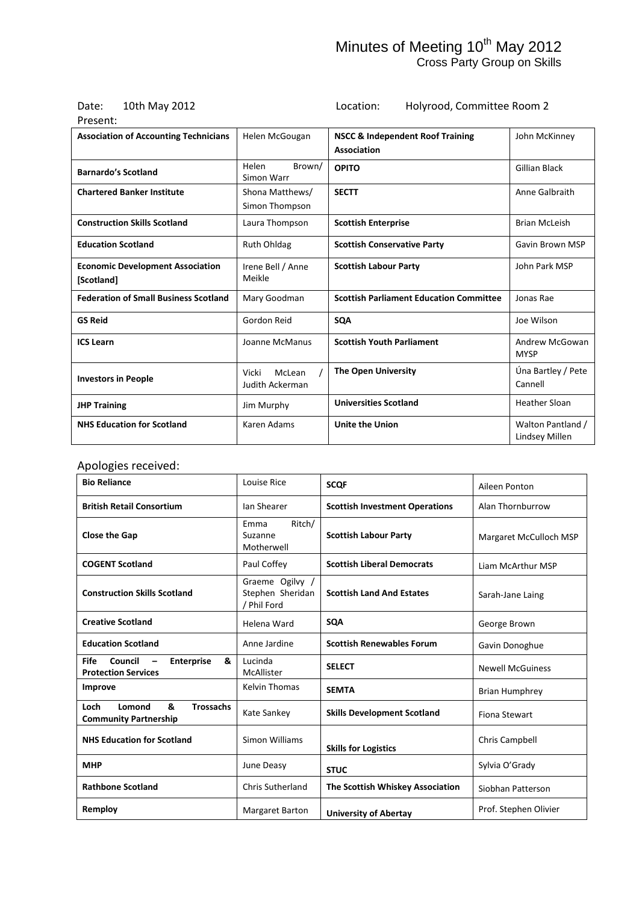# Date: 10th May 2012<br>Present:

Location: Holyrood, Committee Room 2

| Present:                                              |                                    |                                                            |                                     |
|-------------------------------------------------------|------------------------------------|------------------------------------------------------------|-------------------------------------|
| <b>Association of Accounting Technicians</b>          | Helen McGougan                     | <b>NSCC &amp; Independent Roof Training</b><br>Association | John McKinney                       |
| <b>Barnardo's Scotland</b>                            | Helen<br>Brown/<br>Simon Warr      | <b>OPITO</b>                                               | Gillian Black                       |
| <b>Chartered Banker Institute</b>                     | Shona Matthews/<br>Simon Thompson  | <b>SECTT</b>                                               | Anne Galbraith                      |
| <b>Construction Skills Scotland</b>                   | Laura Thompson                     | <b>Scottish Enterprise</b>                                 | <b>Brian McLeish</b>                |
| <b>Education Scotland</b>                             | <b>Ruth Ohldag</b>                 | <b>Scottish Conservative Party</b>                         | Gavin Brown MSP                     |
| <b>Economic Development Association</b><br>[Scotland] | Irene Bell / Anne<br>Meikle        | <b>Scottish Labour Party</b>                               | John Park MSP                       |
| <b>Federation of Small Business Scotland</b>          | Mary Goodman                       | <b>Scottish Parliament Education Committee</b>             | Jonas Rae                           |
| <b>GS Reid</b>                                        | Gordon Reid                        | <b>SQA</b>                                                 | Joe Wilson                          |
| <b>ICS Learn</b>                                      | Joanne McManus                     | <b>Scottish Youth Parliament</b>                           | Andrew McGowan<br><b>MYSP</b>       |
| <b>Investors in People</b>                            | Vicki<br>McLean<br>Judith Ackerman | <b>The Open University</b>                                 | Úna Bartley / Pete<br>Cannell       |
| <b>JHP Training</b>                                   | Jim Murphy                         | <b>Universities Scotland</b>                               | <b>Heather Sloan</b>                |
| <b>NHS Education for Scotland</b>                     | Karen Adams                        | <b>Unite the Union</b>                                     | Walton Pantland /<br>Lindsey Millen |

#### Apologies received:

| <b>Bio Reliance</b>                                                                                 | Louise Rice                                        | <b>SCOF</b>                           | Aileen Ponton           |
|-----------------------------------------------------------------------------------------------------|----------------------------------------------------|---------------------------------------|-------------------------|
| <b>British Retail Consortium</b>                                                                    | Ian Shearer                                        | <b>Scottish Investment Operations</b> | Alan Thornburrow        |
| <b>Close the Gap</b>                                                                                | Ritch/<br>Emma<br>Suzanne<br>Motherwell            | <b>Scottish Labour Party</b>          | Margaret McCulloch MSP  |
| <b>COGENT Scotland</b>                                                                              | Paul Coffey                                        | <b>Scottish Liberal Democrats</b>     | Liam McArthur MSP       |
| <b>Construction Skills Scotland</b>                                                                 | Graeme Ogilvy /<br>Stephen Sheridan<br>/ Phil Ford | <b>Scottish Land And Estates</b>      | Sarah-Jane Laing        |
| <b>Creative Scotland</b>                                                                            | Helena Ward                                        | <b>SOA</b>                            | George Brown            |
| <b>Education Scotland</b>                                                                           | Anne Jardine                                       | <b>Scottish Renewables Forum</b>      | Gavin Donoghue          |
| <b>Fife</b><br>Council<br>Enterprise<br>&<br>$\overline{\phantom{m}}$<br><b>Protection Services</b> | Lucinda<br>McAllister                              | <b>SELECT</b>                         | <b>Newell McGuiness</b> |
| Improve                                                                                             | <b>Kelvin Thomas</b>                               | <b>SEMTA</b>                          | <b>Brian Humphrey</b>   |
| &<br><b>Trossachs</b><br>Lomond<br>Loch<br><b>Community Partnership</b>                             | Kate Sankey                                        | <b>Skills Development Scotland</b>    | <b>Fiona Stewart</b>    |
| <b>NHS Education for Scotland</b>                                                                   | Simon Williams                                     | <b>Skills for Logistics</b>           | Chris Campbell          |
| <b>MHP</b>                                                                                          | June Deasy                                         | <b>STUC</b>                           | Sylvia O'Grady          |
| <b>Rathbone Scotland</b>                                                                            | <b>Chris Sutherland</b>                            | The Scottish Whiskey Association      | Siobhan Patterson       |
| Remploy                                                                                             | <b>Margaret Barton</b>                             | <b>University of Abertay</b>          | Prof. Stephen Olivier   |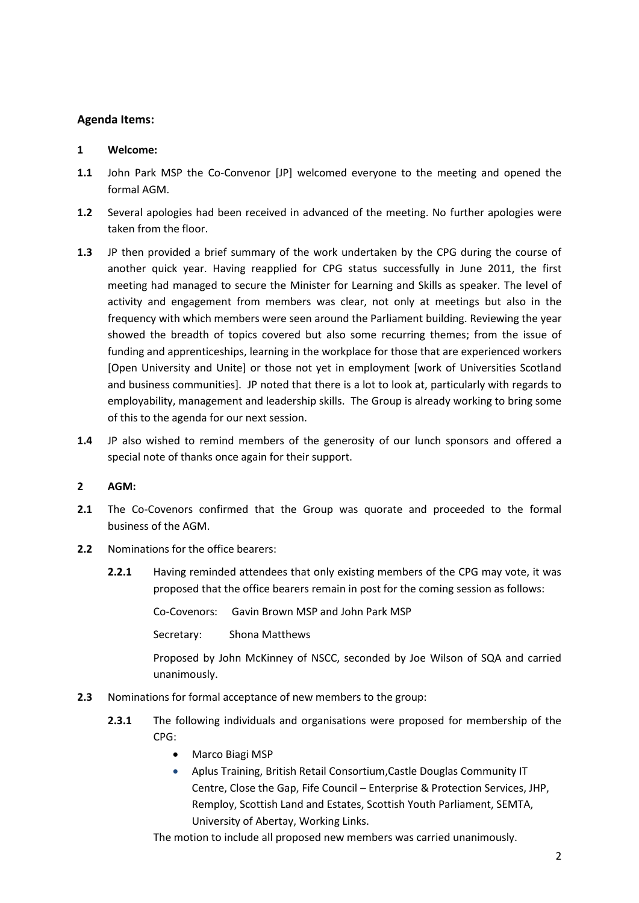#### **Agenda Items:**

#### **1 Welcome:**

- **1.1** John Park MSP the Co-Convenor [JP] welcomed everyone to the meeting and opened the formal AGM.
- **1.2** Several apologies had been received in advanced of the meeting. No further apologies were taken from the floor.
- **1.3** JP then provided a brief summary of the work undertaken by the CPG during the course of another quick year. Having reapplied for CPG status successfully in June 2011, the first meeting had managed to secure the Minister for Learning and Skills as speaker. The level of activity and engagement from members was clear, not only at meetings but also in the frequency with which members were seen around the Parliament building. Reviewing the year showed the breadth of topics covered but also some recurring themes; from the issue of funding and apprenticeships, learning in the workplace for those that are experienced workers [Open University and Unite] or those not yet in employment [work of Universities Scotland and business communities]. JP noted that there is a lot to look at, particularly with regards to employability, management and leadership skills. The Group is already working to bring some of this to the agenda for our next session.
- **1.4** JP also wished to remind members of the generosity of our lunch sponsors and offered a special note of thanks once again for their support.

#### **2 AGM:**

- **2.1** The Co-Covenors confirmed that the Group was quorate and proceeded to the formal business of the AGM.
- **2.2** Nominations for the office bearers:
	- **2.2.1** Having reminded attendees that only existing members of the CPG may vote, it was proposed that the office bearers remain in post for the coming session as follows:

Co-Covenors: Gavin Brown MSP and John Park MSP

Secretary: Shona Matthews

Proposed by John McKinney of NSCC, seconded by Joe Wilson of SQA and carried unanimously.

- **2.3** Nominations for formal acceptance of new members to the group:
	- **2.3.1** The following individuals and organisations were proposed for membership of the CPG:
		- Marco Biagi MSP
		- Aplus Training, British Retail Consortium,Castle Douglas Community IT Centre, Close the Gap, Fife Council – Enterprise & Protection Services, JHP, Remploy, Scottish Land and Estates, Scottish Youth Parliament, SEMTA, University of Abertay, Working Links.

The motion to include all proposed new members was carried unanimously.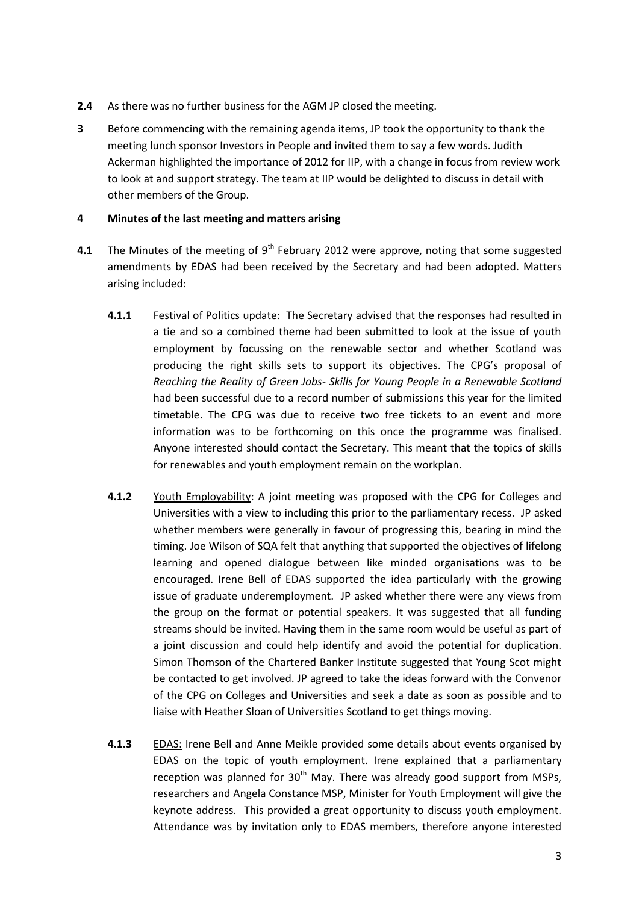- **2.4** As there was no further business for the AGM JP closed the meeting.
- **3** Before commencing with the remaining agenda items, JP took the opportunity to thank the meeting lunch sponsor Investors in People and invited them to say a few words. Judith Ackerman highlighted the importance of 2012 for IIP, with a change in focus from review work to look at and support strategy. The team at IIP would be delighted to discuss in detail with other members of the Group.

#### **4 Minutes of the last meeting and matters arising**

- **4.1** The Minutes of the meeting of 9<sup>th</sup> February 2012 were approve, noting that some suggested amendments by EDAS had been received by the Secretary and had been adopted. Matters arising included:
	- **4.1.1** Festival of Politics update: The Secretary advised that the responses had resulted in a tie and so a combined theme had been submitted to look at the issue of youth employment by focussing on the renewable sector and whether Scotland was producing the right skills sets to support its objectives. The CPG's proposal of *Reaching the Reality of Green Jobs- Skills for Young People in a Renewable Scotland*  had been successful due to a record number of submissions this year for the limited timetable. The CPG was due to receive two free tickets to an event and more information was to be forthcoming on this once the programme was finalised. Anyone interested should contact the Secretary. This meant that the topics of skills for renewables and youth employment remain on the workplan.
	- **4.1.2** Youth Employability: A joint meeting was proposed with the CPG for Colleges and Universities with a view to including this prior to the parliamentary recess. JP asked whether members were generally in favour of progressing this, bearing in mind the timing. Joe Wilson of SQA felt that anything that supported the objectives of lifelong learning and opened dialogue between like minded organisations was to be encouraged. Irene Bell of EDAS supported the idea particularly with the growing issue of graduate underemployment. JP asked whether there were any views from the group on the format or potential speakers. It was suggested that all funding streams should be invited. Having them in the same room would be useful as part of a joint discussion and could help identify and avoid the potential for duplication. Simon Thomson of the Chartered Banker Institute suggested that Young Scot might be contacted to get involved. JP agreed to take the ideas forward with the Convenor of the CPG on Colleges and Universities and seek a date as soon as possible and to liaise with Heather Sloan of Universities Scotland to get things moving.
	- **4.1.3** EDAS: Irene Bell and Anne Meikle provided some details about events organised by EDAS on the topic of youth employment. Irene explained that a parliamentary reception was planned for  $30<sup>th</sup>$  May. There was already good support from MSPs, researchers and Angela Constance MSP, Minister for Youth Employment will give the keynote address. This provided a great opportunity to discuss youth employment. Attendance was by invitation only to EDAS members, therefore anyone interested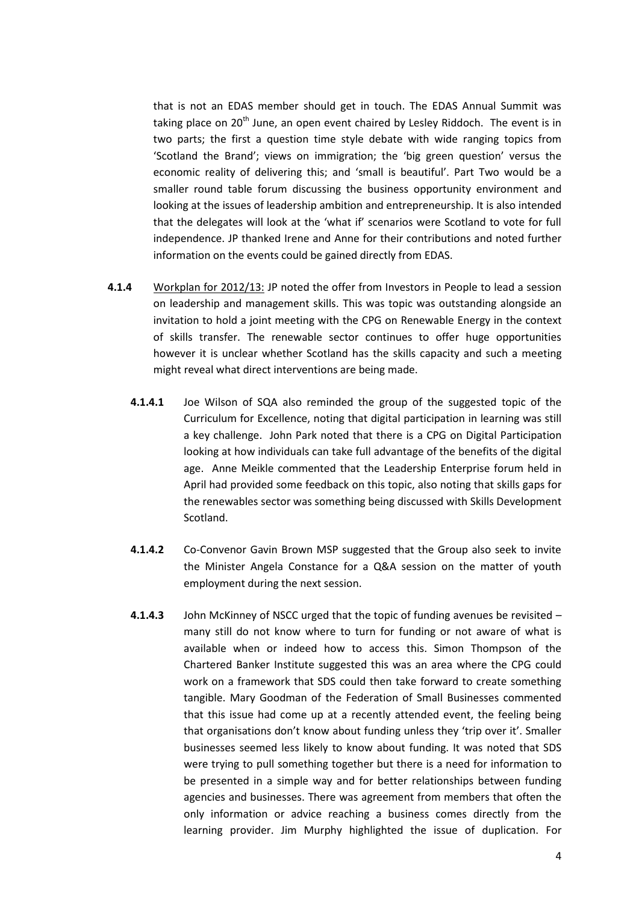that is not an EDAS member should get in touch. The EDAS Annual Summit was taking place on 20<sup>th</sup> June, an open event chaired by Lesley Riddoch. The event is in two parts; the first a question time style debate with wide ranging topics from 'Scotland the Brand'; views on immigration; the 'big green question' versus the economic reality of delivering this; and 'small is beautiful'. Part Two would be a smaller round table forum discussing the business opportunity environment and looking at the issues of leadership ambition and entrepreneurship. It is also intended that the delegates will look at the 'what if' scenarios were Scotland to vote for full independence. JP thanked Irene and Anne for their contributions and noted further information on the events could be gained directly from EDAS.

- **4.1.4** Workplan for 2012/13: JP noted the offer from Investors in People to lead a session on leadership and management skills. This was topic was outstanding alongside an invitation to hold a joint meeting with the CPG on Renewable Energy in the context of skills transfer. The renewable sector continues to offer huge opportunities however it is unclear whether Scotland has the skills capacity and such a meeting might reveal what direct interventions are being made.
	- **4.1.4.1** Joe Wilson of SQA also reminded the group of the suggested topic of the Curriculum for Excellence, noting that digital participation in learning was still a key challenge. John Park noted that there is a CPG on Digital Participation looking at how individuals can take full advantage of the benefits of the digital age. Anne Meikle commented that the Leadership Enterprise forum held in April had provided some feedback on this topic, also noting that skills gaps for the renewables sector was something being discussed with Skills Development Scotland.
	- **4.1.4.2** Co-Convenor Gavin Brown MSP suggested that the Group also seek to invite the Minister Angela Constance for a Q&A session on the matter of youth employment during the next session.
	- **4.1.4.3** John McKinney of NSCC urged that the topic of funding avenues be revisited many still do not know where to turn for funding or not aware of what is available when or indeed how to access this. Simon Thompson of the Chartered Banker Institute suggested this was an area where the CPG could work on a framework that SDS could then take forward to create something tangible. Mary Goodman of the Federation of Small Businesses commented that this issue had come up at a recently attended event, the feeling being that organisations don't know about funding unless they 'trip over it'. Smaller businesses seemed less likely to know about funding. It was noted that SDS were trying to pull something together but there is a need for information to be presented in a simple way and for better relationships between funding agencies and businesses. There was agreement from members that often the only information or advice reaching a business comes directly from the learning provider. Jim Murphy highlighted the issue of duplication. For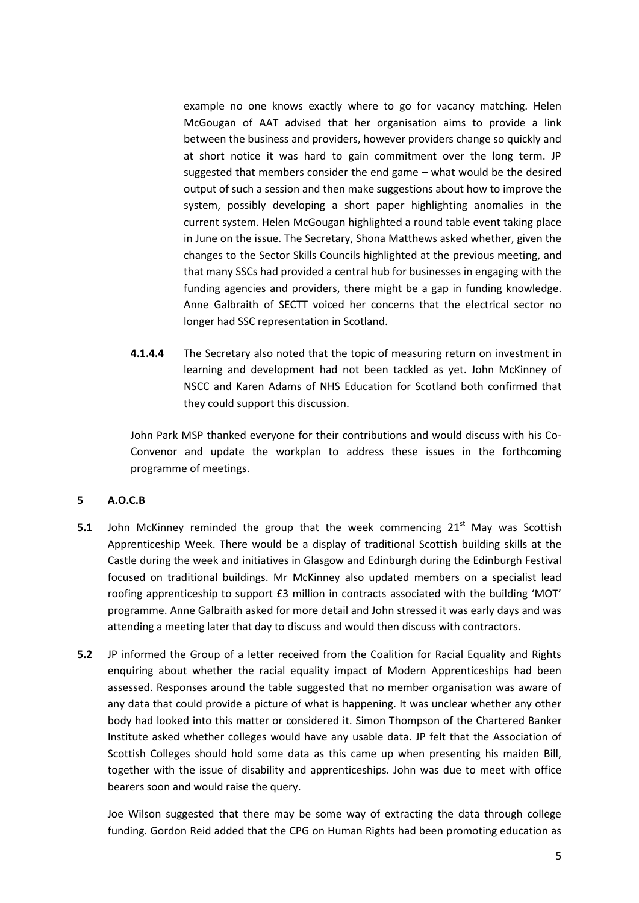example no one knows exactly where to go for vacancy matching. Helen McGougan of AAT advised that her organisation aims to provide a link between the business and providers, however providers change so quickly and at short notice it was hard to gain commitment over the long term. JP suggested that members consider the end game – what would be the desired output of such a session and then make suggestions about how to improve the system, possibly developing a short paper highlighting anomalies in the current system. Helen McGougan highlighted a round table event taking place in June on the issue. The Secretary, Shona Matthews asked whether, given the changes to the Sector Skills Councils highlighted at the previous meeting, and that many SSCs had provided a central hub for businesses in engaging with the funding agencies and providers, there might be a gap in funding knowledge. Anne Galbraith of SECTT voiced her concerns that the electrical sector no longer had SSC representation in Scotland.

**4.1.4.4** The Secretary also noted that the topic of measuring return on investment in learning and development had not been tackled as yet. John McKinney of NSCC and Karen Adams of NHS Education for Scotland both confirmed that they could support this discussion.

John Park MSP thanked everyone for their contributions and would discuss with his Co-Convenor and update the workplan to address these issues in the forthcoming programme of meetings.

#### **5 A.O.C.B**

- **5.1** John McKinney reminded the group that the week commencing 21<sup>st</sup> May was Scottish Apprenticeship Week. There would be a display of traditional Scottish building skills at the Castle during the week and initiatives in Glasgow and Edinburgh during the Edinburgh Festival focused on traditional buildings. Mr McKinney also updated members on a specialist lead roofing apprenticeship to support £3 million in contracts associated with the building 'MOT' programme. Anne Galbraith asked for more detail and John stressed it was early days and was attending a meeting later that day to discuss and would then discuss with contractors.
- **5.2** JP informed the Group of a letter received from the Coalition for Racial Equality and Rights enquiring about whether the racial equality impact of Modern Apprenticeships had been assessed. Responses around the table suggested that no member organisation was aware of any data that could provide a picture of what is happening. It was unclear whether any other body had looked into this matter or considered it. Simon Thompson of the Chartered Banker Institute asked whether colleges would have any usable data. JP felt that the Association of Scottish Colleges should hold some data as this came up when presenting his maiden Bill, together with the issue of disability and apprenticeships. John was due to meet with office bearers soon and would raise the query.

Joe Wilson suggested that there may be some way of extracting the data through college funding. Gordon Reid added that the CPG on Human Rights had been promoting education as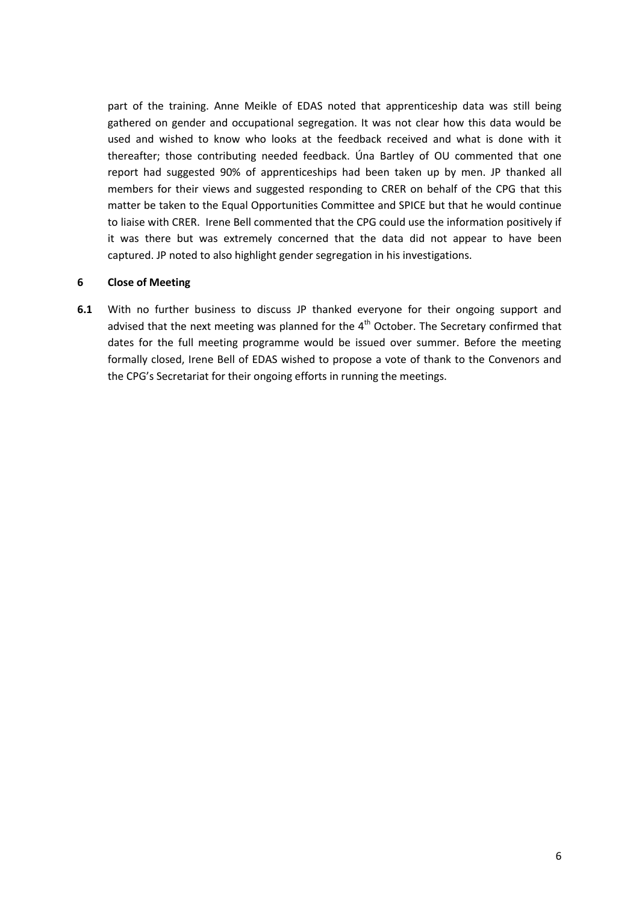part of the training. Anne Meikle of EDAS noted that apprenticeship data was still being gathered on gender and occupational segregation. It was not clear how this data would be used and wished to know who looks at the feedback received and what is done with it thereafter; those contributing needed feedback. Úna Bartley of OU commented that one report had suggested 90% of apprenticeships had been taken up by men. JP thanked all members for their views and suggested responding to CRER on behalf of the CPG that this matter be taken to the Equal Opportunities Committee and SPICE but that he would continue to liaise with CRER. Irene Bell commented that the CPG could use the information positively if it was there but was extremely concerned that the data did not appear to have been captured. JP noted to also highlight gender segregation in his investigations.

#### **6 Close of Meeting**

**6.1** With no further business to discuss JP thanked everyone for their ongoing support and advised that the next meeting was planned for the  $4<sup>th</sup>$  October. The Secretary confirmed that dates for the full meeting programme would be issued over summer. Before the meeting formally closed, Irene Bell of EDAS wished to propose a vote of thank to the Convenors and the CPG's Secretariat for their ongoing efforts in running the meetings.